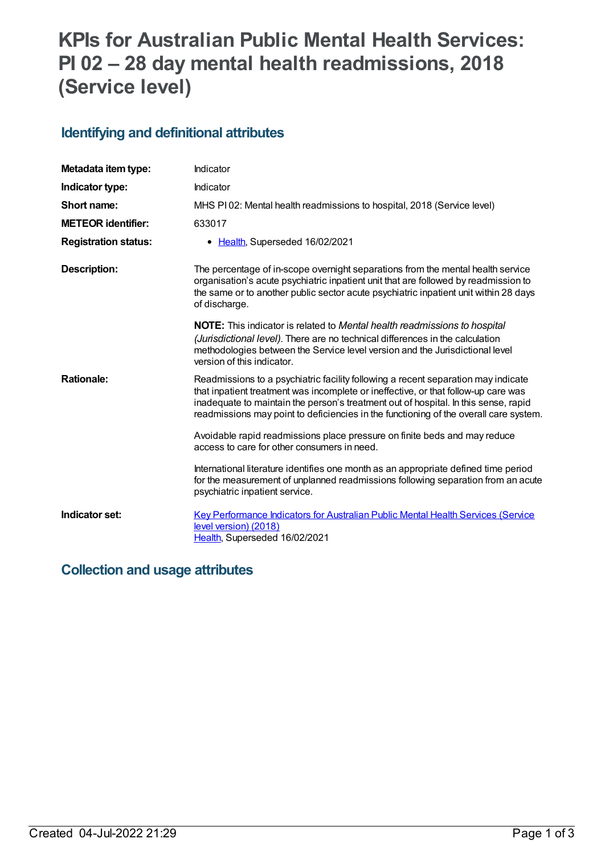# **KPIs for Australian Public Mental Health Services: PI 02 – 28 day mental health readmissions, 2018 (Service level)**

### **Identifying and definitional attributes**

| Metadata item type:         | Indicator                                                                                                                                                                                                                                                                                                                                               |
|-----------------------------|---------------------------------------------------------------------------------------------------------------------------------------------------------------------------------------------------------------------------------------------------------------------------------------------------------------------------------------------------------|
| Indicator type:             | Indicator                                                                                                                                                                                                                                                                                                                                               |
| Short name:                 | MHS PI02: Mental health readmissions to hospital, 2018 (Service level)                                                                                                                                                                                                                                                                                  |
| <b>METEOR identifier:</b>   | 633017                                                                                                                                                                                                                                                                                                                                                  |
| <b>Registration status:</b> | • Health, Superseded 16/02/2021                                                                                                                                                                                                                                                                                                                         |
| <b>Description:</b>         | The percentage of in-scope overnight separations from the mental health service<br>organisation's acute psychiatric inpatient unit that are followed by readmission to<br>the same or to another public sector acute psychiatric inpatient unit within 28 days<br>of discharge.                                                                         |
|                             | <b>NOTE:</b> This indicator is related to Mental health readmissions to hospital<br>(Jurisdictional level). There are no technical differences in the calculation<br>methodologies between the Service level version and the Jurisdictional level<br>version of this indicator.                                                                         |
| <b>Rationale:</b>           | Readmissions to a psychiatric facility following a recent separation may indicate<br>that inpatient treatment was incomplete or ineffective, or that follow-up care was<br>inadequate to maintain the person's treatment out of hospital. In this sense, rapid<br>readmissions may point to deficiencies in the functioning of the overall care system. |
|                             | Avoidable rapid readmissions place pressure on finite beds and may reduce<br>access to care for other consumers in need.                                                                                                                                                                                                                                |
|                             | International literature identifies one month as an appropriate defined time period<br>for the measurement of unplanned readmissions following separation from an acute<br>psychiatric inpatient service.                                                                                                                                               |
| Indicator set:              | <b>Key Performance Indicators for Australian Public Mental Health Services (Service</b><br>level version) (2018)<br>Health, Superseded 16/02/2021                                                                                                                                                                                                       |

### **Collection and usage attributes**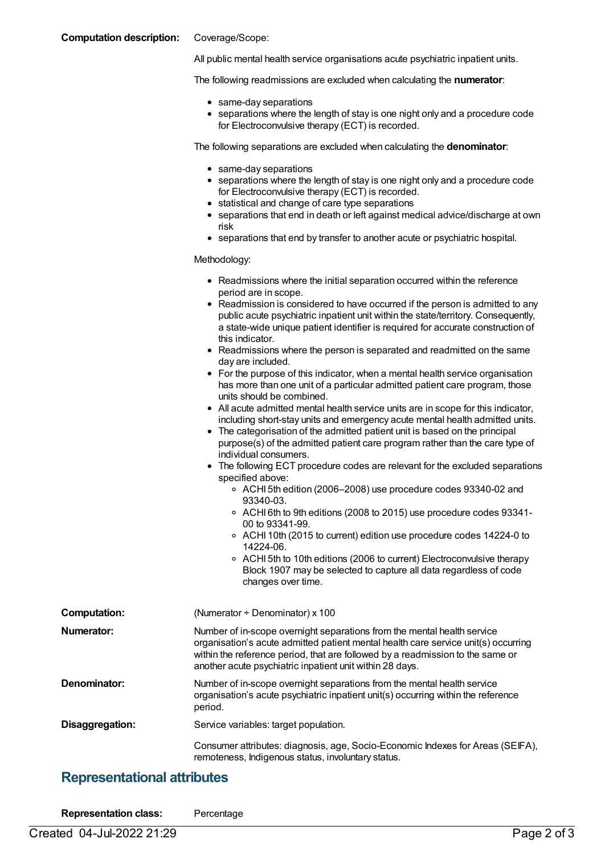### **Computation description:** Coverage/Scope:

All public mental health service organisations acute psychiatric inpatient units.

The following readmissions are excluded when calculating the **numerator**:

- same-day separations
- separations where the length of stay is one night only and a procedure code for Electroconvulsive therapy (ECT) is recorded.

The following separations are excluded when calculating the **denominator**:

- same-day separations
- separations where the length of stay is one night only and a procedure code for Electroconvulsive therapy (ECT) is recorded.
- statistical and change of care type separations
- separations that end in death or left against medical advice/discharge at own risk
- separations that end by transfer to another acute or psychiatric hospital.

#### Methodology:

|                     | • Readmissions where the initial separation occurred within the reference<br>period are in scope.<br>• Readmission is considered to have occurred if the person is admitted to any<br>public acute psychiatric inpatient unit within the state/territory. Consequently,<br>a state-wide unique patient identifier is required for accurate construction of<br>this indicator.<br>• Readmissions where the person is separated and readmitted on the same<br>day are included.<br>• For the purpose of this indicator, when a mental health service organisation<br>has more than one unit of a particular admitted patient care program, those<br>units should be combined.<br>• All acute admitted mental health service units are in scope for this indicator,<br>including short-stay units and emergency acute mental health admitted units.<br>• The categorisation of the admitted patient unit is based on the principal<br>purpose(s) of the admitted patient care program rather than the care type of<br>individual consumers.<br>• The following ECT procedure codes are relevant for the excluded separations<br>specified above:<br>○ ACHI 5th edition (2006–2008) use procedure codes 93340-02 and<br>93340-03. |
|---------------------|-------------------------------------------------------------------------------------------------------------------------------------------------------------------------------------------------------------------------------------------------------------------------------------------------------------------------------------------------------------------------------------------------------------------------------------------------------------------------------------------------------------------------------------------------------------------------------------------------------------------------------------------------------------------------------------------------------------------------------------------------------------------------------------------------------------------------------------------------------------------------------------------------------------------------------------------------------------------------------------------------------------------------------------------------------------------------------------------------------------------------------------------------------------------------------------------------------------------------------|
|                     | 14224-06.<br>○ ACHI 5th to 10th editions (2006 to current) Electroconvulsive therapy<br>Block 1907 may be selected to capture all data regardless of code<br>changes over time.                                                                                                                                                                                                                                                                                                                                                                                                                                                                                                                                                                                                                                                                                                                                                                                                                                                                                                                                                                                                                                               |
| <b>Computation:</b> | (Numerator + Denominator) x 100                                                                                                                                                                                                                                                                                                                                                                                                                                                                                                                                                                                                                                                                                                                                                                                                                                                                                                                                                                                                                                                                                                                                                                                               |
| <b>Numerator:</b>   | Number of in-scope overnight separations from the mental health service<br>organisation's acute admitted patient mental health care service unit(s) occurring<br>within the reference period, that are followed by a readmission to the same or<br>another acute psychiatric inpatient unit within 28 days.                                                                                                                                                                                                                                                                                                                                                                                                                                                                                                                                                                                                                                                                                                                                                                                                                                                                                                                   |
| Denominator:        | Number of in-scope overnight separations from the mental health service<br>organisation's acute psychiatric inpatient unit(s) occurring within the reference<br>period.                                                                                                                                                                                                                                                                                                                                                                                                                                                                                                                                                                                                                                                                                                                                                                                                                                                                                                                                                                                                                                                       |
| Disaggregation:     | Service variables: target population.                                                                                                                                                                                                                                                                                                                                                                                                                                                                                                                                                                                                                                                                                                                                                                                                                                                                                                                                                                                                                                                                                                                                                                                         |

Consumer attributes: diagnosis, age, Socio-Economic Indexes for Areas (SEIFA), remoteness, Indigenous status, involuntary status.

### **Representational attributes**

| <b>Representation class:</b> | Percentage |
|------------------------------|------------|
|------------------------------|------------|